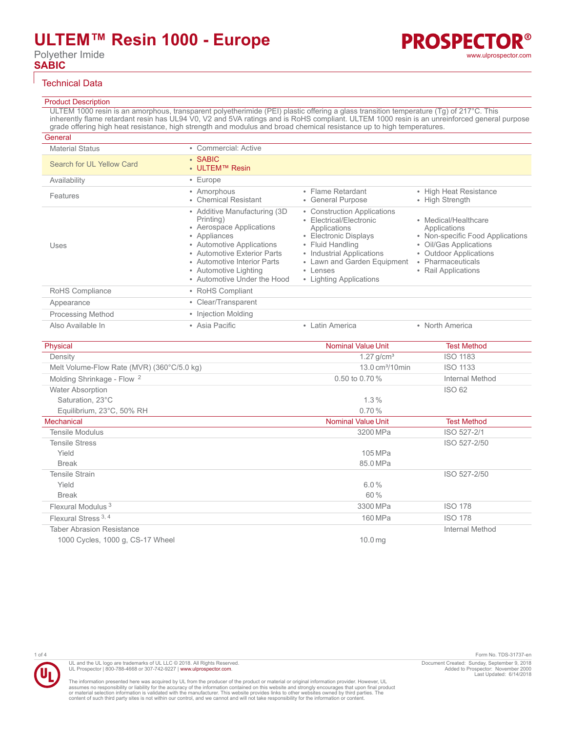Polyether Imide **SABIC**

### Technical Data

### Product Description

ULTEM 1000 resin is an amorphous, transparent polyetherimide (PEI) plastic offering a glass transition temperature (Tg) of 217°C. This inherently flame retardant resin has UL94 V0, V2 and 5VA ratings and is RoHS compliant. ULTEM 1000 resin is an unreinforced general purpose grade offering high heat resistance, high strength and modulus and broad chemical resistance up to high temperatures.

| General                   |                                                                                                                                                                                                                                           |                                                                                                                                                                                                                        |                                                                                                                                                                          |
|---------------------------|-------------------------------------------------------------------------------------------------------------------------------------------------------------------------------------------------------------------------------------------|------------------------------------------------------------------------------------------------------------------------------------------------------------------------------------------------------------------------|--------------------------------------------------------------------------------------------------------------------------------------------------------------------------|
| <b>Material Status</b>    | • Commercial: Active                                                                                                                                                                                                                      |                                                                                                                                                                                                                        |                                                                                                                                                                          |
| Search for UL Yellow Card | $\cdot$ SABIC<br>• ULTEM™ Resin                                                                                                                                                                                                           |                                                                                                                                                                                                                        |                                                                                                                                                                          |
| Availability              | $\cdot$ Europe                                                                                                                                                                                                                            |                                                                                                                                                                                                                        |                                                                                                                                                                          |
| Features                  | • Amorphous<br>• Chemical Resistant                                                                                                                                                                                                       | • Flame Retardant<br>• General Purpose                                                                                                                                                                                 | • High Heat Resistance<br>• High Strength                                                                                                                                |
| Uses                      | • Additive Manufacturing (3D)<br>Printing)<br>• Aerospace Applications<br>• Appliances<br>• Automotive Applications<br>• Automotive Exterior Parts<br>• Automotive Interior Parts<br>• Automotive Lighting<br>• Automotive Under the Hood | • Construction Applications<br>• Electrical/Electronic<br>Applications<br>• Electronic Displays<br>• Fluid Handling<br>• Industrial Applications<br>• Lawn and Garden Equipment<br>• Lenses<br>• Lighting Applications | • Medical/Healthcare<br>Applications<br>• Non-specific Food Applications<br>• Oil/Gas Applications<br>• Outdoor Applications<br>• Pharmaceuticals<br>• Rail Applications |
| RoHS Compliance           | • RoHS Compliant                                                                                                                                                                                                                          |                                                                                                                                                                                                                        |                                                                                                                                                                          |
| Appearance                | • Clear/Transparent                                                                                                                                                                                                                       |                                                                                                                                                                                                                        |                                                                                                                                                                          |
| <b>Processing Method</b>  | • Injection Molding                                                                                                                                                                                                                       |                                                                                                                                                                                                                        |                                                                                                                                                                          |
| Also Available In         | • Asia Pacific                                                                                                                                                                                                                            | • Latin America                                                                                                                                                                                                        | • North America                                                                                                                                                          |

| Physical                                   | <b>Nominal Value Unit</b>            | <b>Test Method</b> |
|--------------------------------------------|--------------------------------------|--------------------|
| Density                                    | $1.27$ g/cm <sup>3</sup>             | <b>ISO 1183</b>    |
| Melt Volume-Flow Rate (MVR) (360°C/5.0 kg) | $13.0 \text{ cm}^3 / 10 \text{ min}$ | <b>ISO 1133</b>    |
| Molding Shrinkage - Flow <sup>2</sup>      | 0.50 to 0.70 %                       | Internal Method    |
| <b>Water Absorption</b>                    |                                      | <b>ISO 62</b>      |
| Saturation, 23°C                           | 1.3%                                 |                    |
| Equilibrium, 23°C, 50% RH                  | 0.70%                                |                    |
| <b>Mechanical</b>                          | <b>Nominal Value Unit</b>            | <b>Test Method</b> |
| <b>Tensile Modulus</b>                     | 3200 MPa                             | ISO 527-2/1        |
| <b>Tensile Stress</b>                      |                                      | ISO 527-2/50       |
| Yield                                      | 105 MPa                              |                    |
| <b>Break</b>                               | 85.0 MPa                             |                    |
| Tensile Strain                             |                                      | ISO 527-2/50       |
| Yield                                      | $6.0\%$                              |                    |
| <b>Break</b>                               | 60%                                  |                    |
| Flexural Modulus <sup>3</sup>              | 3300 MPa                             | <b>ISO 178</b>     |
| Flexural Stress <sup>3, 4</sup>            | 160 MPa                              | <b>ISO 178</b>     |
| <b>Taber Abrasion Resistance</b>           |                                      | Internal Method    |
| 1000 Cycles, 1000 g, CS-17 Wheel           | 10.0 <sub>mg</sub>                   |                    |

UL and the UL logo are trademarks of UL LLC © 2018. All Rights Reserved. UL Prospector | 800-788-4668 or 307-742-9227 | [www.ulprospector.com](http://www.ulprospector.com).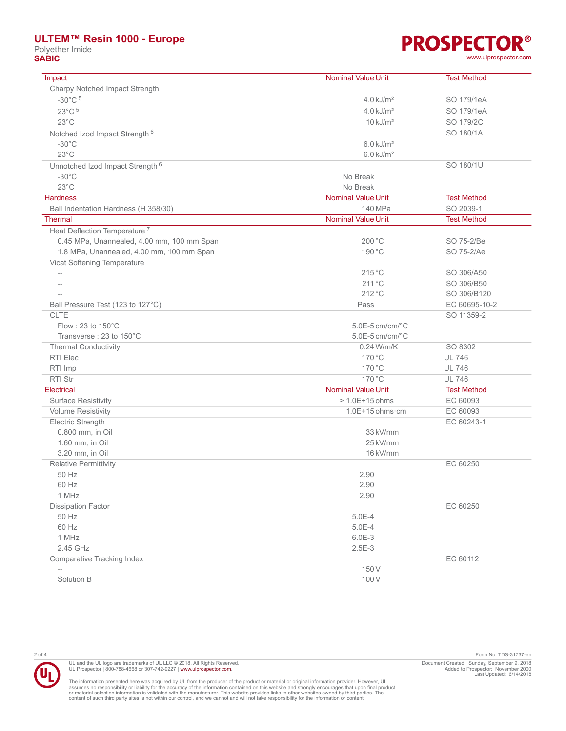## **ULTEM™ Resin 1000 - Europe**

Polyether Imide<br> **SABIC** 

**PROSPECTOR® SABIC** [www.ulprospector.com](http://www.ulprospector.com)

| Impact                                                                                  | <b>Nominal Value Unit</b> | <b>Test Method</b>         |
|-----------------------------------------------------------------------------------------|---------------------------|----------------------------|
| Charpy Notched Impact Strength                                                          |                           |                            |
| $-30^{\circ}$ C $5$                                                                     | $4.0 \text{ kJ/m}^2$      | <b>ISO 179/1eA</b>         |
| 23°C <sup>5</sup>                                                                       | $4.0 \text{ kJ/m}^2$      | <b>ISO 179/1eA</b>         |
| $23^{\circ}$ C                                                                          | $10 \text{ kJ/m}^2$       | <b>ISO 179/2C</b>          |
| Notched Izod Impact Strength <sup>6</sup>                                               |                           | <b>ISO 180/1A</b>          |
| $-30^{\circ}$ C                                                                         | $6.0$ kJ/m <sup>2</sup>   |                            |
| $23^{\circ}$ C                                                                          | $6.0$ kJ/m <sup>2</sup>   |                            |
|                                                                                         |                           | <b>ISO 180/1U</b>          |
| Unnotched Izod Impact Strength <sup>6</sup><br>$-30^{\circ}$ C                          | No Break                  |                            |
| $23^{\circ}$ C                                                                          | No Break                  |                            |
| <b>Hardness</b>                                                                         | <b>Nominal Value Unit</b> | <b>Test Method</b>         |
|                                                                                         | 140 MPa                   | ISO 2039-1                 |
| Ball Indentation Hardness (H 358/30)<br><b>Thermal</b>                                  | <b>Nominal Value Unit</b> | <b>Test Method</b>         |
|                                                                                         |                           |                            |
| Heat Deflection Temperature <sup>7</sup>                                                |                           |                            |
| 0.45 MPa, Unannealed, 4.00 mm, 100 mm Span<br>1.8 MPa, Unannealed, 4.00 mm, 100 mm Span | 200 °C<br>190 °C          | ISO 75-2/Be<br>ISO 75-2/Ae |
|                                                                                         |                           |                            |
| Vicat Softening Temperature                                                             | $215^{\circ}$ C           | ISO 306/A50                |
|                                                                                         | 211 °C                    | ISO 306/B50                |
| $-$                                                                                     | $212^{\circ}$ C           | ISO 306/B120               |
| Ball Pressure Test (123 to 127°C)                                                       |                           | IEC 60695-10-2             |
| <b>CLTE</b>                                                                             | Pass                      |                            |
| Flow: 23 to $150^{\circ}$ C                                                             | $5.0E-5$ cm/cm/ $°C$      | ISO 11359-2                |
| Transverse: 23 to 150°C                                                                 | $5.0E-5$ cm/cm/ $°C$      |                            |
|                                                                                         | 0.24 W/m/K                | ISO 8302                   |
| <b>Thermal Conductivity</b><br>RTI Elec                                                 | 170 °C                    | <b>UL 746</b>              |
| RTI Imp                                                                                 | 170 °C                    | <b>UL 746</b>              |
| RTI Str                                                                                 | 170 °C                    | <b>UL 746</b>              |
|                                                                                         | <b>Nominal Value Unit</b> |                            |
| <b>Electrical</b>                                                                       | $> 1.0E + 15$ ohms        | <b>Test Method</b>         |
| <b>Surface Resistivity</b>                                                              |                           | IEC 60093                  |
| <b>Volume Resistivity</b>                                                               | $1.0E+15$ ohms $\cdot$ cm | <b>IEC 60093</b>           |
| <b>Electric Strength</b>                                                                |                           | IEC 60243-1                |
| 0.800 mm, in Oil                                                                        | 33 kV/mm<br>25 kV/mm      |                            |
| 1.60 mm, in Oil<br>3.20 mm, in Oil                                                      | 16 kV/mm                  |                            |
|                                                                                         |                           | <b>IEC 60250</b>           |
| Relative Permittivity                                                                   |                           |                            |
| 50 Hz<br>60 Hz                                                                          | 2.90                      |                            |
| 1 MHz                                                                                   | 2.90<br>2.90              |                            |
| Dissipation Factor                                                                      |                           | <b>IEC 60250</b>           |
| 50 Hz                                                                                   | $5.0E-4$                  |                            |
| 60 Hz                                                                                   | $5.0E-4$                  |                            |
| 1 MHz                                                                                   | $6.0E-3$                  |                            |
| 2.45 GHz                                                                                | $2.5E-3$                  |                            |
| Comparative Tracking Index                                                              |                           | IEC 60112                  |
|                                                                                         | 150V                      |                            |
| Solution B                                                                              | 100V                      |                            |
|                                                                                         |                           |                            |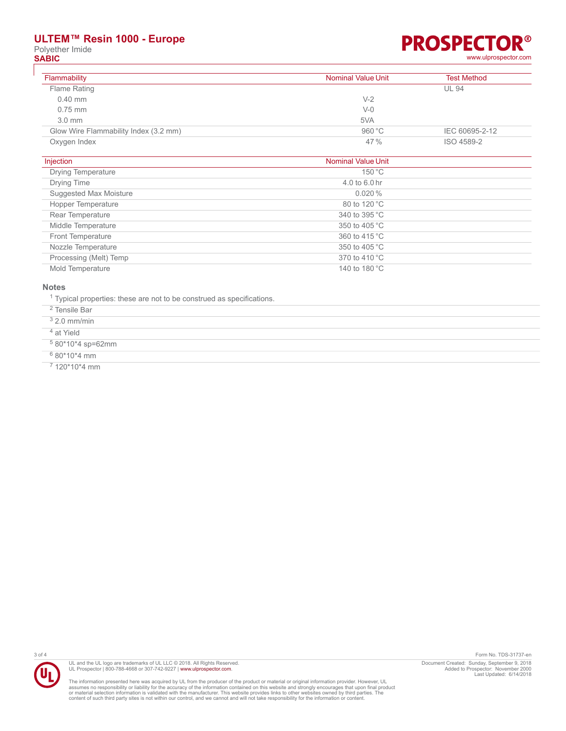# **ULTEM™ Resin 1000 - Europe**

Polyether Imide<br> **SABIC** 

### R® **PROSPECTO SABIC** [www.ulprospector.com](http://www.ulprospector.com)

| Flammability                          | <b>Nominal Value Unit</b> | <b>Test Method</b> |
|---------------------------------------|---------------------------|--------------------|
| Flame Rating                          |                           | <b>UL 94</b>       |
| $0.40$ mm                             | $V-2$                     |                    |
| $0.75$ mm                             | $V-0$                     |                    |
| $3.0 \text{ mm}$                      | 5VA                       |                    |
| Glow Wire Flammability Index (3.2 mm) | 960 °C                    | IEC 60695-2-12     |
| Oxygen Index                          | 47%                       | ISO 4589-2         |

| Injection                 | <b>Nominal Value Unit</b> |  |
|---------------------------|---------------------------|--|
| <b>Drying Temperature</b> | 150 °C                    |  |
| Drying Time               | 4.0 to 6.0 hr             |  |
| Suggested Max Moisture    | $0.020\%$                 |  |
| Hopper Temperature        | 80 to 120 °C              |  |
| Rear Temperature          | 340 to 395 °C             |  |
| Middle Temperature        | 350 to 405 °C             |  |
| Front Temperature         | 360 to 415 °C             |  |
| Nozzle Temperature        | 350 to 405 °C             |  |
| Processing (Melt) Temp    | 370 to 410 °C             |  |
| Mold Temperature          | 140 to 180 °C             |  |

#### **Notes**

<sup>1</sup> Typical properties: these are not to be construed as specifications.

2 Tensile Bar

3 2.0 mm/min

4 at Yield

5 80\*10\*4 sp=62mm

6 80\*10\*4 mm

7 120\*10\*4 mm